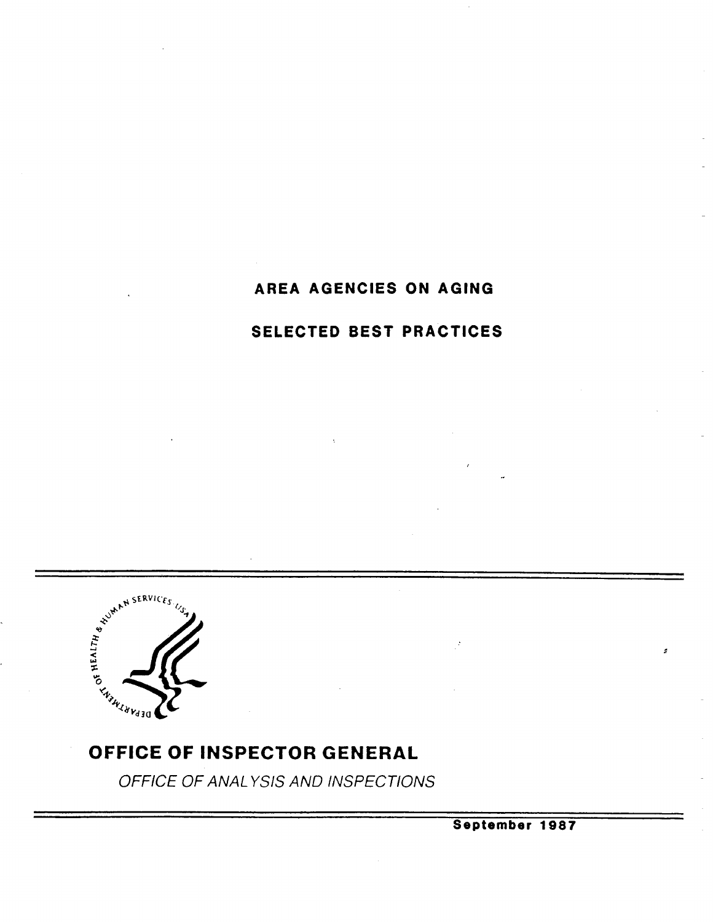# AREA AGENCIES ON AGING

# SELECTED BEST PRACTICES



OFFICE OF INSPECTOR GENERAL

OFFICE OF ANAL YSIS AND INSPECTIONS

September 1987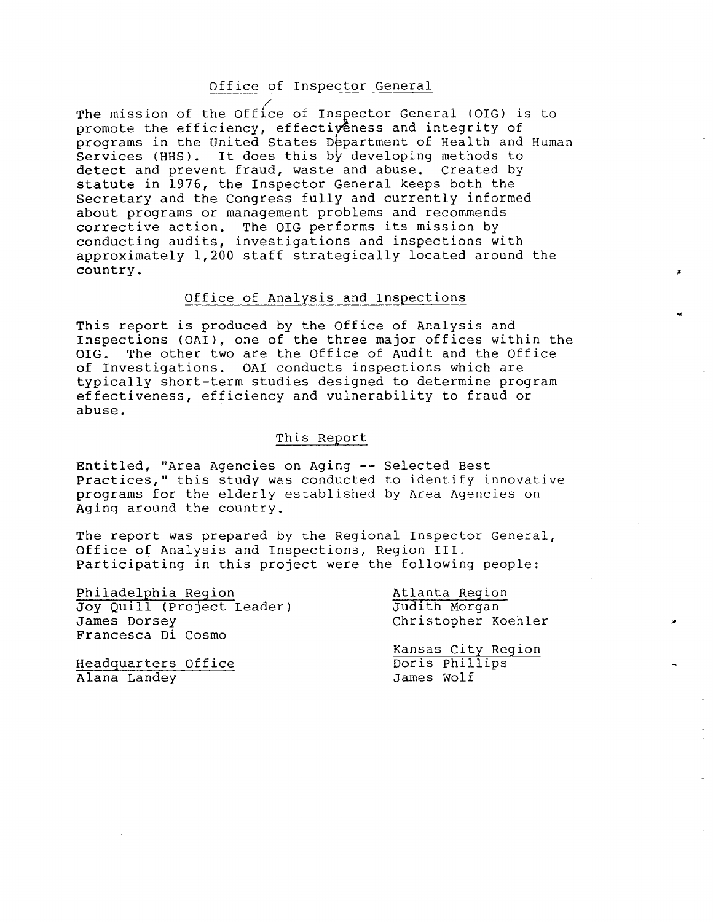#### Office of Inspector General

The mission of the Office of Inspector General (OIG) is to promote the efficiency, effectiyeness and integrity of programs in the United States Department of Health and Human Services (HHS). It does this by developing methods to detect and prevent fraud, waste and abuse. Created by statute in 1976, the Inspector General keeps both the Secretary and the Congress fully and currently informed about programs or management problems and recommends corrective action. The OIG performs its mission by conducting audits, investigations and inspections with approximately 1,200 staff strategically located around the country.

#### Office of Analysis and Inspections

This report is produced by the Office of Analysis and<br>Inspections (OAI), one of the three major offices within the<br>OIG. The other two are the Office of Audit and the Office of Investigations. OAI conducts inspections which are typically short-term studies designed to determine program effectiveness , efficiency and vulnerability to fraud or abuse.

#### This Report

Entitled, "Area Agencies on Aging -- Selected Best Practices," this study was conducted to identify innovative programs for the elderly established by Area Agencies on Aging around the country.

The report was prepared by the Regional Inspector General, Office of Analysis and Inspections, Region III. Participating in this project were the following people:

Philadelphia Region Atlanta Region Joy Quill (Project Leader) Judith Morgan<br>James Dorsey (Diristopher Ko Francesca Di Cosmo

Christopher Koehler

Kansas City Region<br>Doris Phillips

Headquarters Office Doris Phillips Alana Landey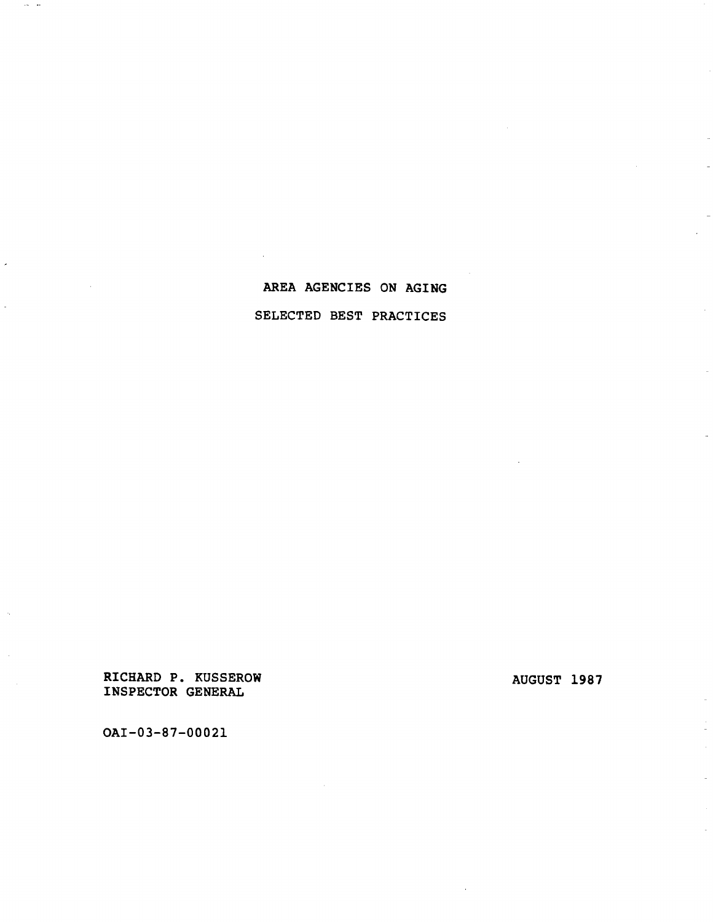# AREA AGENCIES ON AGING SELECTED BEST PRACTICES

RICHARD P. KUSSEROW **AUGUST 1987** INSPECTOR GENERA

OAI-03-87-00021

 $\mathcal{L}_{\text{max}}$  . The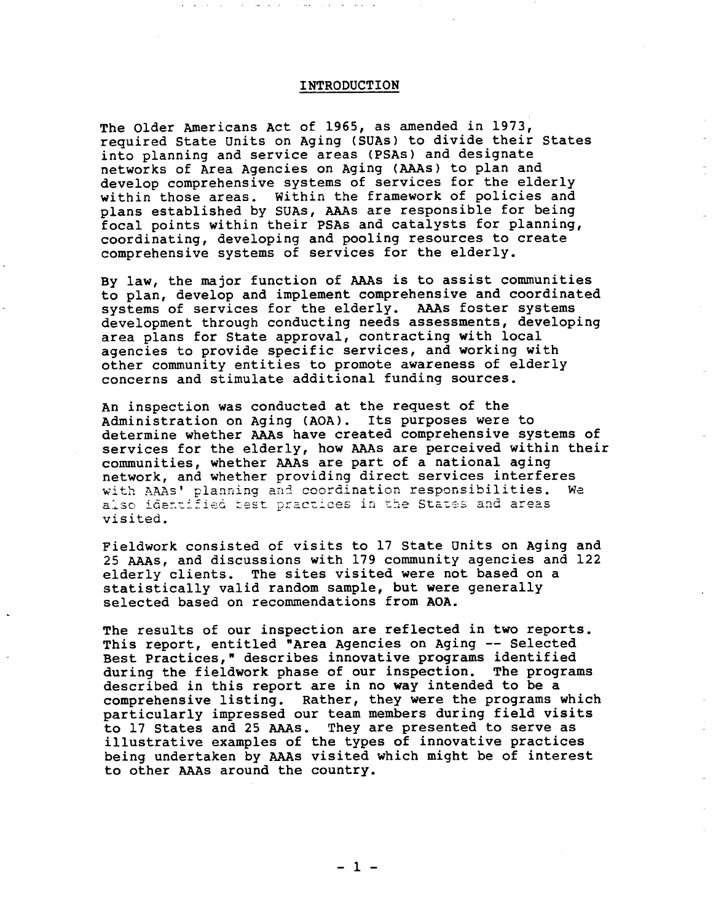#### INTRODUCTION

The Older Americans Act of 1965, as amended in 1973, required state Units on Aging (SUAs) to divide their states into planning and service areas (PSAs) and designate networks of Area Agencies on Aging (AAs) to plan and develop comprehensive systems of services for the elderly within those areas. Within the framework of policies and plans established by SUAs, AAAs are responsible for being focal points within their PSAs and catalysts for planning, coordinating, developing and pooling resources to create comprehensive systems of services for the elderly.

By law, the major function of AAAs is to assist communities to plan, develop and implement comprehensive and coordinated systems of services for the elderly. AAs foster systems development through conducting needs assessments, developing area plans for state approval, contracting with local agencies to provide specific services, and working with other community entities to promote awareness of elderly concerns and stimulate additional funding sources.

An inspection was conducted at the request of the<br>Administration on Aging (AOA). Its purposes were to determine whether AAAs have created comprehensive systems of services for the elderly, how AAAs are perceived within their communities, whether AAAs are part of a national aging network, and whether providing direct services interferes with AAAs' planning and coordination responsibilities. We also identified best practices in the States and areas visited.

Fieldwork consisted of visits to 17 state Units on Aging and 25 AAs, and discussions with l79 community agencies and l22 elderly clients. The sites visited were not based on a statistically valid random sample, but were generally selected based on recommendations from AOA.

The results of our inspection are reflected in two reports.<br>This report, entitled "Area Agencies on Aging -- Selected Best practices, " describes innovative programs identified during the fieldwork phase of our inspection. The programs described in this report are in no way intended to be a comprehensive listing. Rather, they were the programs which particularly impressed our team members during field visits to 17 states and 25 AAs. They are presented to serve as illustrative examples of the types of innovative practices being undertaken by AAs visited which might be of interest to other AAs around the country.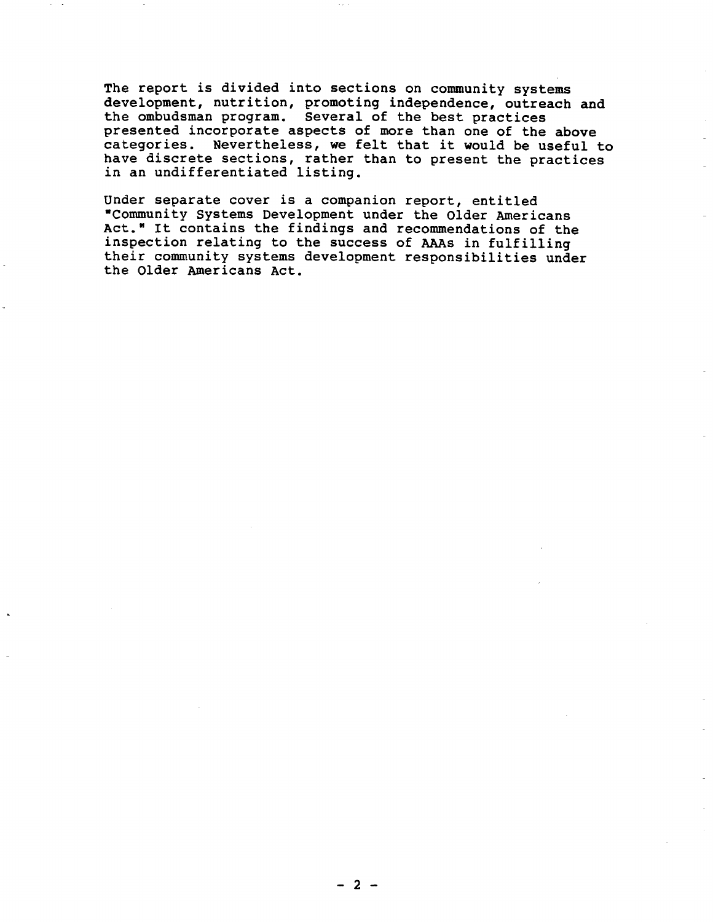The report is divided into sections on community systems development, nutrition, promoting independence, outreach and the ombudsman program. Several of the best practices<br>presented incorporate aspects of more than one of the above categories. Nevertheless, we felt that it would be useful to have discrete sections, rather than to present the practices in an undifferentiated listing.

Under separate cover is a companion report, entitled Communi ty Systems Development under the Older Americans Act. " It contains the findings and recommendations of the inspection relating to the success of AAs in fulfilling their community systems development responsibilities under the Older Americans Act.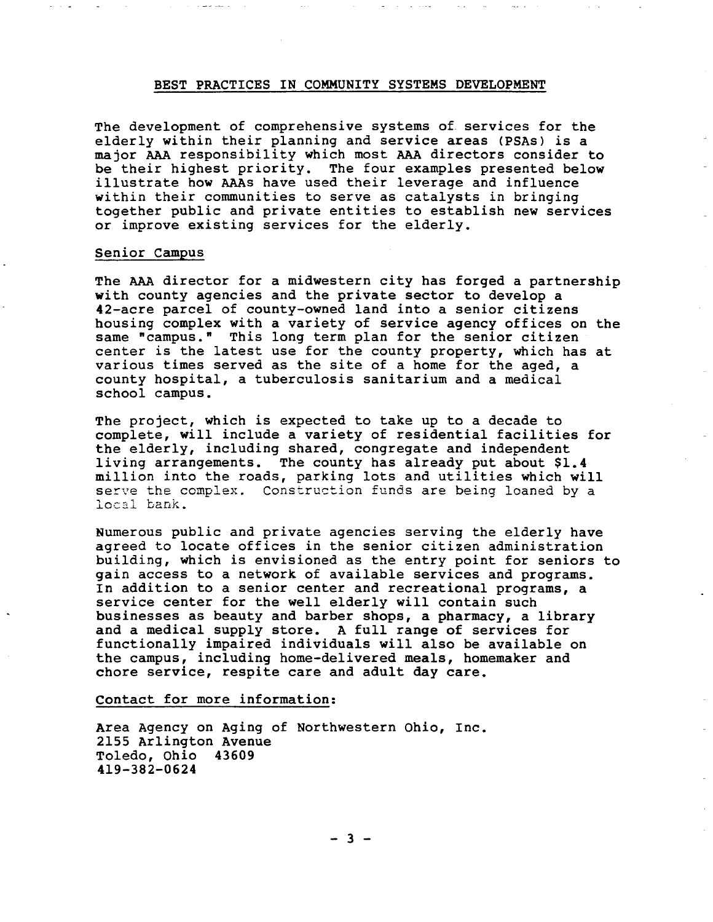## BEST PRACTICES IN COMMUNITY SYSTEMS DEVELOPMENT

The development of comprehensive systems of services for the elderly within their planning and service areas (PSAs) is a major AAA responsibility which most AAA directors consider to be their highest priority. The four examples presented below illustrate how AAs have used their leverage and influence within their communities to serve as catalysts in bringing together public and private entities to establish new services or improve existing services for the elderly.

## Senior Campus

The AAA director for a midwestern city has forged a partnership with county agencies and the private sector to develop a 42-acre parcel of county-owned land into a senior citizens housing complex with a variety of service agency offices on the same "campus." This long term plan for the senior citizen center is the latest use for the county property, which has at various times served as the site of a home for the aged, a county hospital, a tuberculosis sanitarium and a medical school campus.

The project , which is expected to take up to a decade to complete, will include a variety of residential facilities for the elderly, including shared, congregate and independent living arrangements. The county has already put about \$1.4<br>million into the roads, parking lots and utilities which will serve the complex. Construction funds are being loaned by a local bank.

Numerous public and private agencies serving the elderly have agreed to locate offices in the senior citizen administration building, which is envisioned as the entry point for seniors to gain access to a network of available services and programs. In addition to a senior center and recreational programs, a service center for the well elderly will contain such businesses as beauty and barber shops, a pharmacy, a library and a medical supply store. A full range of services for functionally impaired individuals will also be available on the campus, including home-delivered meals, homemaker and chore service, respite care and adult day care.

Contact for more information:

Area Agency on Aging of Northwestern Ohio, Inc.<br>2155 Arlington Avenue Toledo, Ohio 43609 4l9- 382- 0624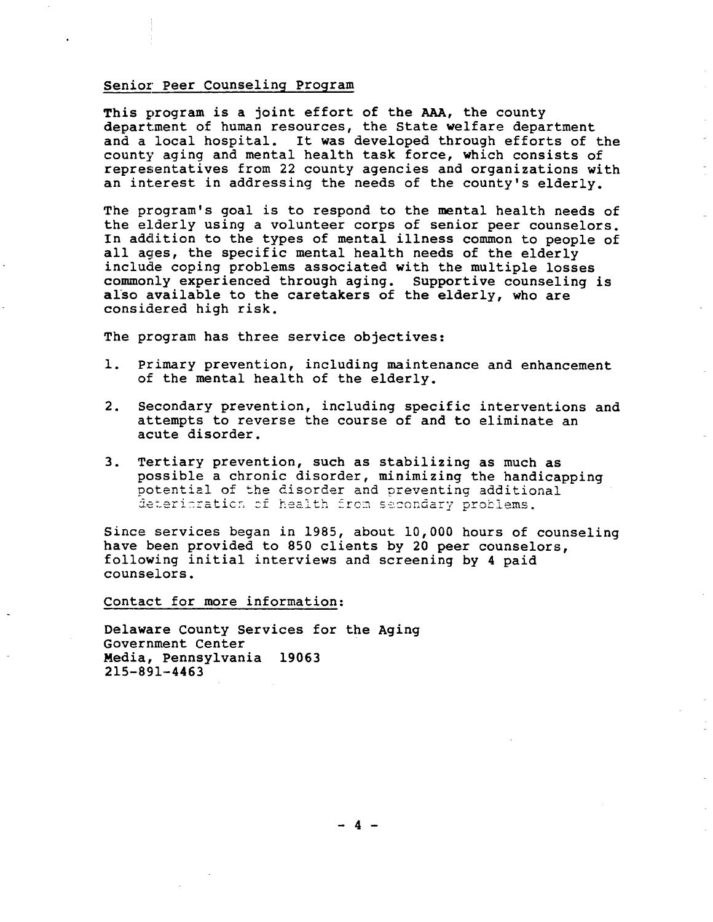#### Senior Peer Counseling program

This program is a joint effort of the AAA, the county department of human resources, the State welfare department and a local hospital. It was developed through efforts of the county aging and mental health task force, which consists of representatives from 22 county agencies and organizations with an interest in addressing the needs of the county's elderly.

The program's goal is to respond to the mental health needs of the elderly using a volunteer corps of senior peer counselors. In addition to the types of mental illness common to people of all ages, the specific mental health needs of the elderly include coping problems associated with the multiple losses commonly experienced through aging. Supportive counseling is also available to the caretakers of the elderly, who are considered high risk.

The program has three service objectives:

- 1. primary prevention, including maintenance and enhancement of the mental health of the elderly.
- $2.$ Secondary prevention, including specific interventions and attempts to reverse the course of and to eliminate an acute disorder.
- Tertiary prevention, such as stabilizing as much as  $3.$ possible a chronic disorder, minimizing the handicapping potential of the disorder and preventing additional deteritration of health from secondary problems.

Since services began in 1985, about 10,000 hours of counseling have been provided to 850 clients by 20 peer counselors, following initial interviews and screening by 4 paid counselors.

Contact for more information:

Delaware County Services for the Aging Government Center Media, Pennsylvania 19063 2l5- 89l-4463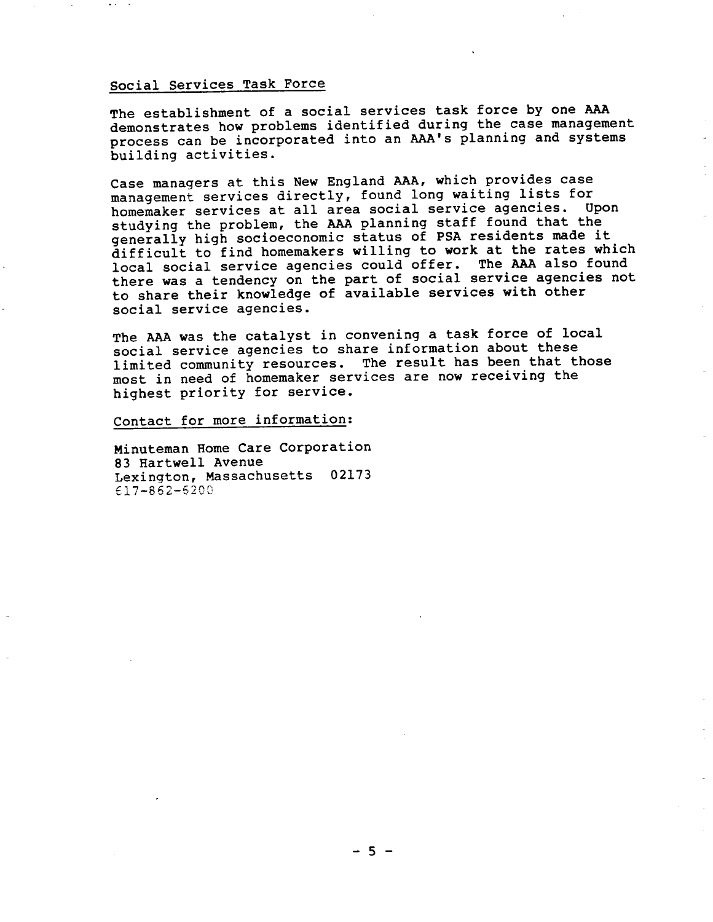# Soc ial Services Task Force

The establishment of a social services task force by one AAA demonstrates how problems identified during the case management process can be incorporated into an AAA's planning and systems building activities.

Case managers at this New England AA, which provides case management services directly, found long waiting lists for homemaker services at all area social service agencies. Upon studying the problem, the AAA planning staff found that the generally high socioeconomic status of PSA residents made it difficult to find homemakers willing to work at the rates which difficult to find noncomments will be offer. The AAA also found there was a tendency on the part of social service agencies not to share their knowledge of available services with other social service agencies.

The AAA was the catalyst in convening a task force of local social service agencies to share information about these limi ted community resources. The result has been that those most in need of homemaker services are now receiving the highest priority for service.

Contact for more information:

Minuteman Home Care Corporation 83 Hartwell Avenue Lexington, Massachusetts 02173 f17-862- 620C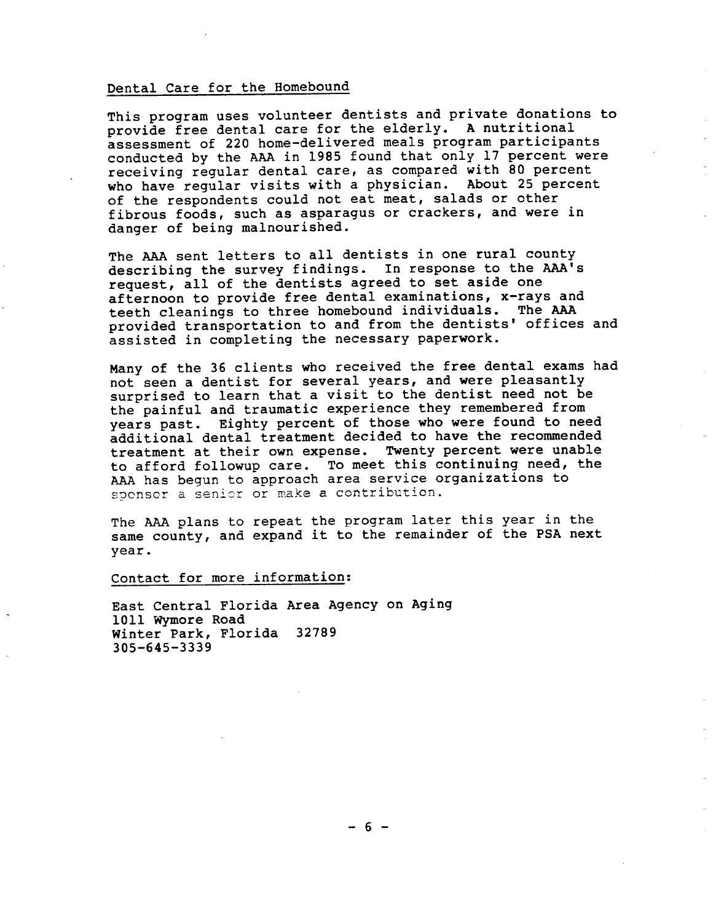## Dental Care for the Homebound

This program uses volunteer dentists and private donations to provide free dental care for the elderly. A nutritional assessment of 220 home-delivered meals program participants conducted by the AA in 1985 found that only l7 percent were receiving regular dental care, as compared with 80 percent who have regular visits with a physician. About 25 percent of the respondents could not eat meat, salads or other fibrous foods, such as asparagus or crackers, and were in danger of being malnourished.

The AAA sent letters to all dentists in one rural county describing the survey findings. In response to the AAA's request, all of the dentists agreed to set aside one afternoon to provide free dental examinations, x-rays and teeth cleanings to three homebound individuals. The provided transportation to and from the dentists' offices and assisted in completing the necessary paperwork.

Many of the 36 clients who received the free dental exams had not seen a dentist for several years, and were pleasantly surprised to learn that a visit to the dentist need not be the painful and traumatic experience they remembered from years past. Eighty percent of those who were found to need additional dental treatment decided to have the recommended<br>treatment at their own expense. Twenty percent were unable to afford followup care. To meet this continuing need, the AA has begun to approach area service organizations to sponser a seni2r or make a contribution.

The AAA plans to repeat the program later this year in the same county, and expand it to the remainder of the PSA next year.

Contact for more information:

East Central Florida Area Agency on Aging 1011 Wymore Road Winter Park, Florida 32789 305-645-3339

 $-6 -$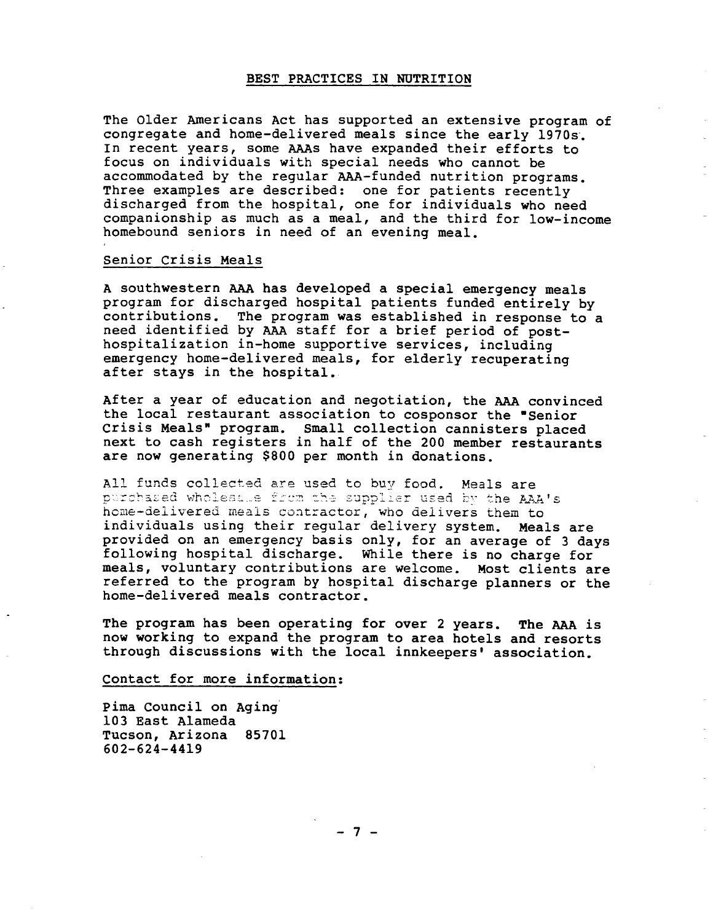## BEST PRACTICES IN NUTRITION

The Older Americans Act has supported an extensive program of congregate and home-delivered meals since the early 1970s' In recent years, some AAS have expanded their efforts to focus on individuals with special needs who cannot be accommodated by the regular AA-funded nutrition programs. Three examples are described: one for patients recently discharged from the hospital, one for individuals who need companionship as much as a meal, and the third for low-income homebound seniors in need of an evening meal.

## Senior Crisis Meals

A southwestern AA has developed a special emergency meals program for discharged hospital patients funded entirely by contributions. The program was established in response to a need identified by AA staff for a brief period of post- hospitalization in-home supportive services , including emergency home-delivered meals, for elderly recuperating after stays in the hospital.

After a year of education and negotiation, the AA convinced the local restaurant association to cosponsor the "Senior crisis Meals" program. Small collection cannisters placed next to cash registers in half of the 200 member restaurants are now generating \$800 per month in donations.

All funds collected are used to buy food. Meals are purchased wholessie from the supplier used by the AAA's home-delivered meals contractor, who delivers them to individuals using their regular delivery system. Meals are provided on an emergency basis only, for an average of 3 days following hospital discharge. While there is no charge for meals , voluntary contributions are welcome. Most clients are referred to the program by hospital discharge planners or the home-delivered meals contractor.

The program has been operating for over 2 years. The AAA is now working to expand the program to area hotels and resorts through discussions with the local innkeepers' association.

Contact for more information:

pima Council on Aging l03 East Alameda Tucson, Arizona 8570l 602- 624- 4419

 $-7 -$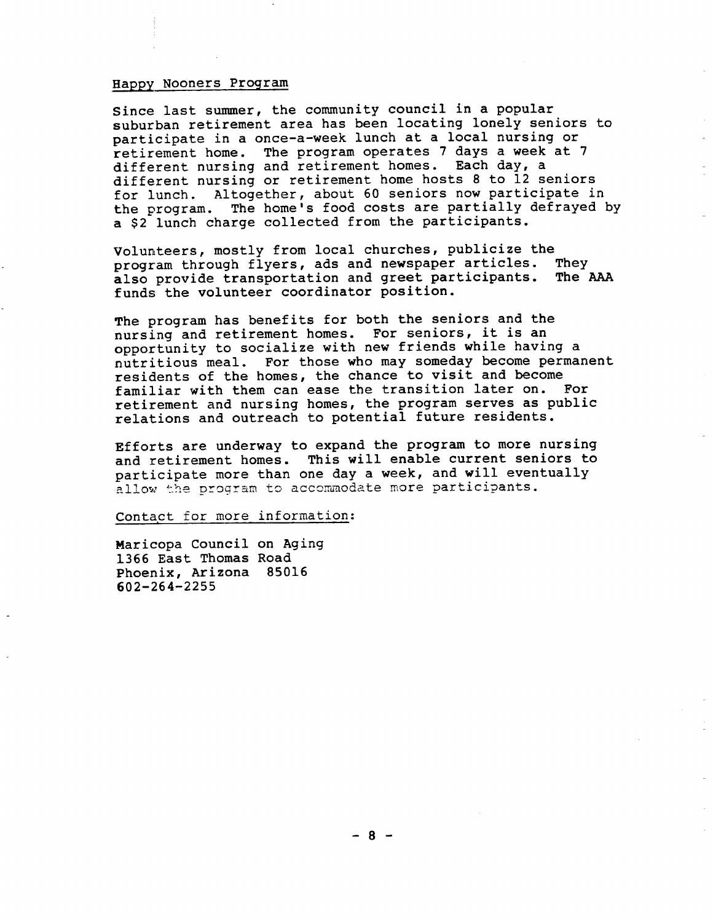## Happy Nooners Program

Since last summer, the community council in a popular suburban retirement area has been locating lonely seniors to participate in a once-a-week lunch at a local nursing or retirement home. The program operates 7 days a week at 7 different nursing and retirement homes. Each day, a different nursing or retirement home hosts 8 to l2 seniors for lunch. Altogether, about 60 seniors now participate in the program. The home's food costs are partially defrayed by a \$2 lunch charge collected from the participants.

Volunteers, mostly from local churches, publicize the program through flyers, ads and newspaper articles. also provide transportation and greet participants. The AAA funds the volunteer coordinator position.

The program has benefits for both the seniors and the nurs ing and retirement homes. For seniors, it is an opportunity to socialize with new friends while having a nutritious meal. For those who may someday become permanent residents of the homes, the chance to visit and become familiar with them can ease the transition later on. For retirement and nursing homes, the program serves as public relations and outreach to potential future residents.

Efforts are underway to expand the program to more nursing and retirement homes. This will enable current seniors to participate more than one day a week, and will eventually allow the program to accommodate more participants.

Contact for more information:

Maricopa Council on Aging 1366 East Thomas Road Phoenix, Arizona 85016 602- 264- 2255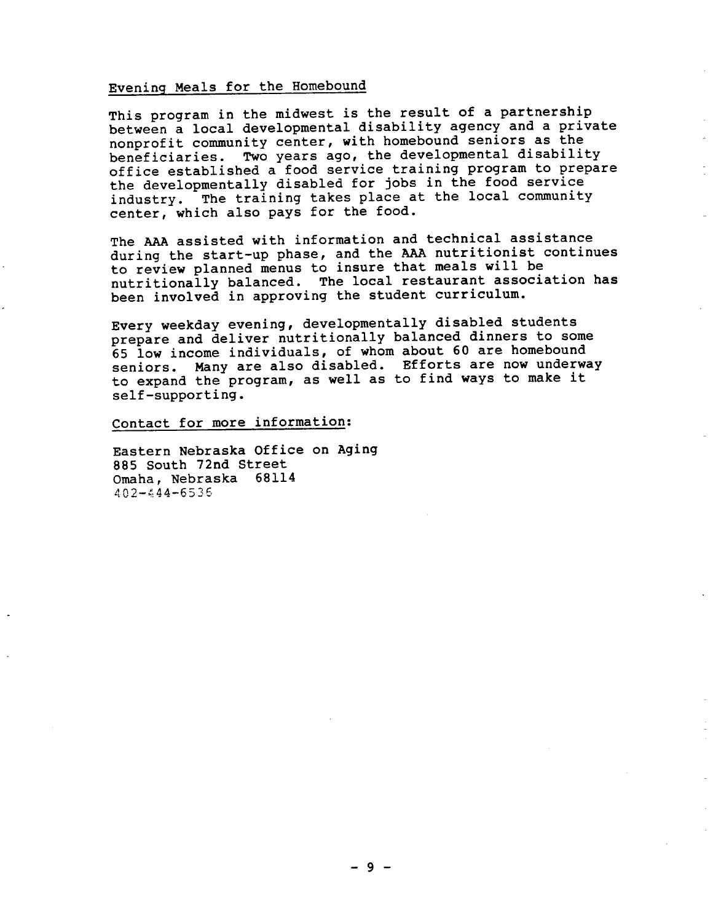# Evening Meals for the Homebound

This program in the midwest is the result of a partnership between a local developmental disability agency and a private nonprofit community center, with homebound seniors as the beneficiaries. Two years ago, the developmental disability office established a food service training program to prepare the developmentally disabled for jobs in the food service industry. The training takes place at the local community center, which also pays for the food.

The AAA assisted with information and technical assistance during the start-up phase, and the AAA nutritionist continues to review planned menus to insure that meals will be nutritionally balanced. The local restaurant association has been involved in approving the student curriculum.

Every weekday evening, developmentally disabled students prepare and deliver nutritionally balanced dinners to some 65 low income individuals, of whom about 60 are homebound seniors. Many are also disabled. Efforts are now underway to expand the program, as well as to find ways to make it self-supporting.

Contact for more information:

Eastern Nebraska Office on Aging 885 South 72nd Street Omaha, Nebraska 68114 402-444-6536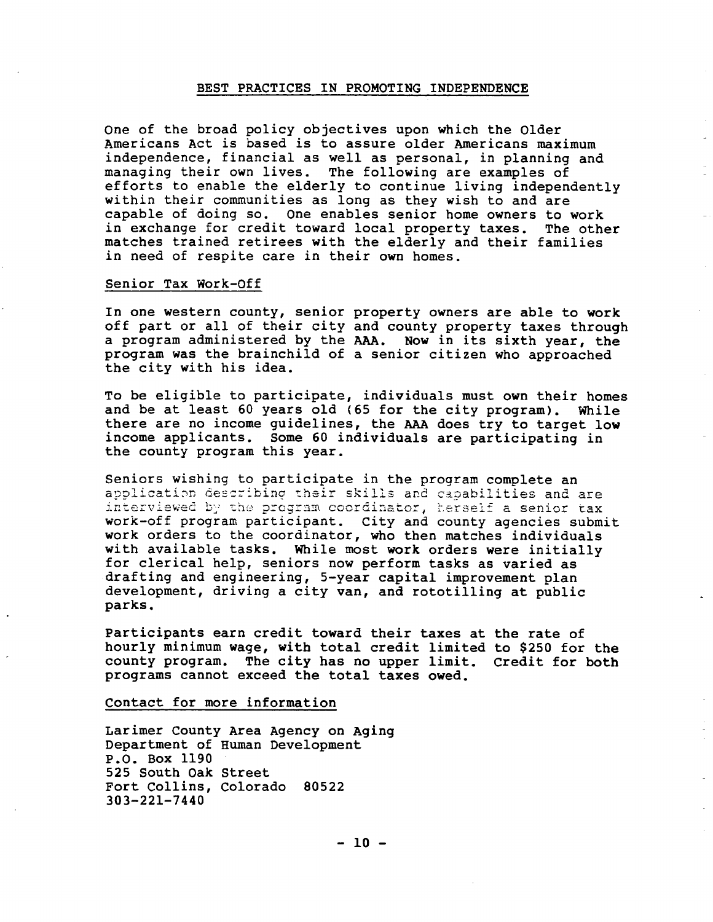## BEST PRACTICES IN PROMOTING INDEPENDENCE

One of the broad policy objectives upon which the Older Americans Act is based is to assure older Americans maximum independence, financial as well as personal, in planning and managing their own lives. The following are examples of efforts to enable the elderly to continue living independently within their communities as long as they wish to and are capable of doing so. One enables senior home owners to work in exchange for credit toward local property taxes. The other matches trained retirees with the elderly and their families in need of respite care in their own homes.

#### Senior Tax Work-Off

In one western county, senior property owners are able to work off part or all of their city and county property taxes through a program administered by the AAA. Now in its sixth year, the program was the brainchild of a senior citizen who approached the city with his idea.

To be eligible to participate, individuals must own their homes and be at least 60 years old (65 for the city program). While there are no income guidelines, the AAA does try to target low income applicants. Some 60 individuals are participating in the county program this year.

Seniors wishing to participate in the program complete an application describing their skills and capabilities and are interviewed by the program coordinator, herself a senior tax work-off program participant. City and county agencies submit work orders to the coordinator, who then matches individuals with available tasks. While most work orders were initially for clerical help, seniors now perform tasks as varied as drafting and engineering, 5-year capital improvement plan development, driving a city van, and rototilling at public parks.

participants earn credit toward their taxes at the rate of hourly minimum wage, with total credit limited to \$250 for the county program. The city has no upper limit. credit for both programs cannot exceed the total taxes owed.

#### Contact for more information

Larimer County Area Agency on Aging Department of Human Development P.O. Box 1190 525 South Oak Street Fort Collins, Colorado 80522  $303 - 221 - 7440$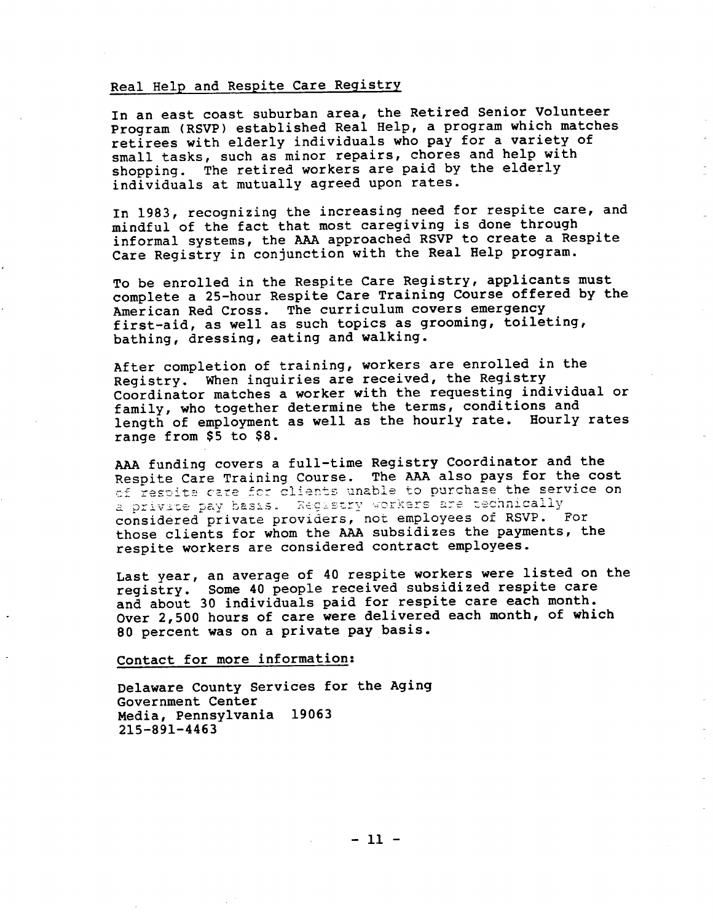# Real Help and Respite Care Registry

In an east coast suburban area, the Retired Senior Volunteer Program (RSVP) established Real Help, a program which matches retirees with elderly individuals who pay for a variety of small tasks, such as minor repairs, chores and help with shopping. The retired workers are paid by the elderly individuals at mutually agreed upon rates.

In 1983, recognizing the increasing need for respite care, and mindful of the fact that most caregiving is done through informal systems, the AA approached RSVP to create a Respite Care Registry in conjunction with the Real Help program.

To be enrolled in the Respite Care Registry, applicants must complete a 25-hour Respite Care Training Course offered by the American Red Cross. The curriculum covers emergency first-aid, as well as such topics as grooming, toileting, bathing, dressing, eating and walking.

After completion of training, workers are enrolled in the Registry. When inquiries are received, the Registry Coordinator matches a worker with the requesting individual or family, who together determine the terms, conditions and length of employment as well as the hourly rate. Hourly rates range from \$5 to \$8.

AA funding covers a full-time Registry Coordinator and the Respite Care Training Course. The AAA also pays for the cost of respite care for clients unable to purchase the service on a private pay basis. Registry workers are technically considered private providers, not employees of RSVP. For those clients for whom the AA subsidi zes the payments, the respite workers are considered contract employees.

Last year, an average of 40 respite workers were listed on the registry. Some 40 people received subsidized respite care and about 30 individuals paid for respite care each month. Over 2, 500 hours of care were delivered each month, of which 80 percent was on a private pay basis.

Contact for more information:

Delaware County Services for the Aging Government Center Media, Pennsylvania 19063 215-891-4463

 $-11 -$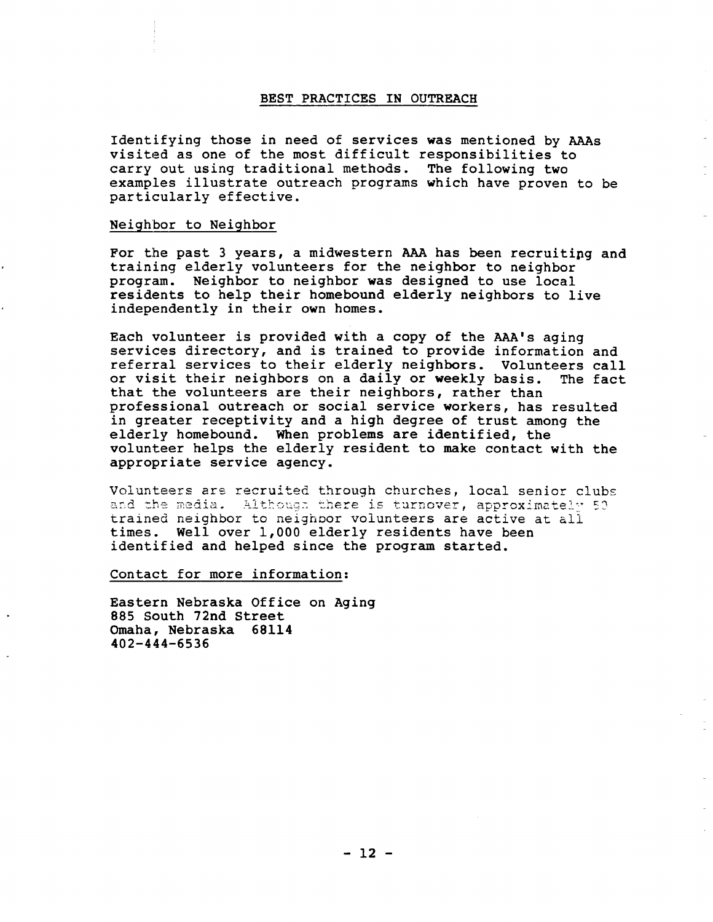## BEST PRACTICES IN OUTREACH

Identifying those in need of services was mentioned by AAAs visited as one of the most difficult responsibilities to carry out using traditional methods. The following two examples illustrate outreach programs which have proven to be particularly effective.

## Neighbor to Neighbor

For the past 3 years, a midwestern AAA has been recruiting and training elderly volunteers for the neighbor to neighbor program. Neighbor to neighbor was designed to use local residents to help their homebound elderly neighbors to live independently in their own homes.

Each volunteer is provided with a copy of the AAA's aging<br>services directory, and is trained to provide information and referral services to their elderly neighbors. Volunteers call<br>or visit their neighbors on a daily or weekly basis. The fact or visit their neighbors on a daily or weekly basis. that the volunteers are their neighbors, rather than professional outreach or social service workers, has resulted in greater receptivity and a high degree of trust among the elderly homebound. When problems are identified, the volunteer helps the elderly resident to make contact with the appropriate service agency.

Volunteers are recruited through churches, local senior clubs<br>and the media. Although there is turnover, approximately 50 trained neighbor to neighbor volunteers are active at all<br>times. Well over 1,000 elderly residents have been identified and helped since the program started.

Contact for more information:

Eastern Nebraska Office on Aging 885 South 72nd Street Omaha, Nebraska 68114 402-444-6536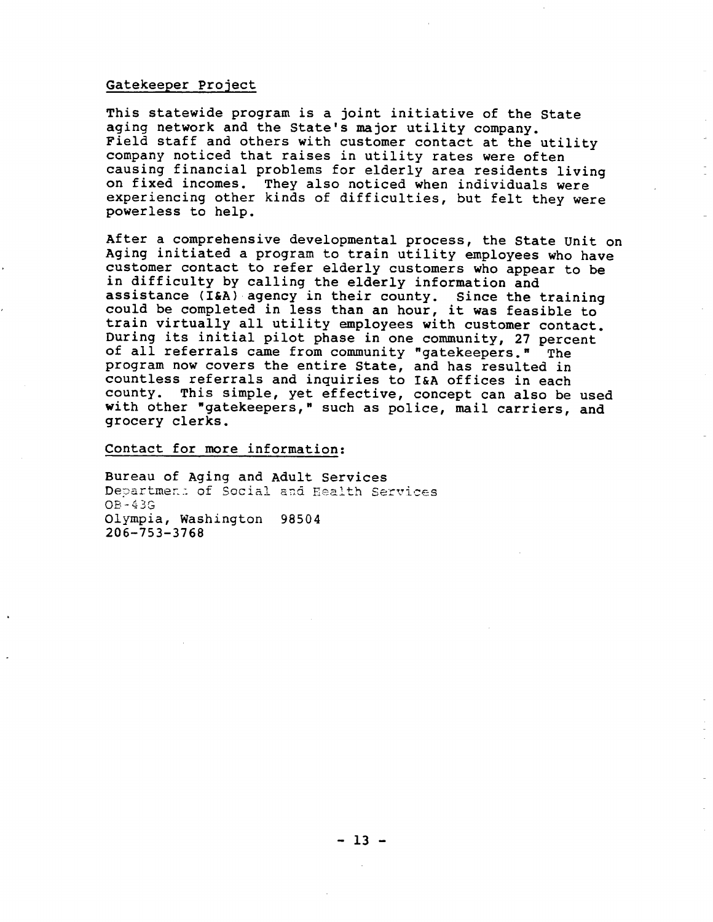## Gatekeeper Project

This statewide program is a joint initiative of the State aging network and the State's major utility company. Field staff and others with customer contact at the utility company noticed that raises in utility rates were often causing financial problems for elderly area residents living on fixed incomes. They also noticed when individuals were experiencing other kinds of difficulties, but felt they were powerless to help.

After a comprehensive developmental process, the State Unit on Aging initiated a program to train utility employees who have customer contact to refer elderly customers who appear to be in difficulty by calling the elderly information and assistance (I&A) agency in their county. Since the training could be completed in less than an hour, it was feasible to train virtually all utility employees with customer contact. During its initial pilot phase in one community, 27 percent of all referrals came from community "gatekeepers." The program now covers the entire State, and has resulted in countless referrals and inquiries to I&A offices in each<br>county. This simple, yet effective, concept can also be used<br>with other "gatekeepers," such as police, mail carriers, and<br>grocery clerks.

Contact for more information:

Bureau of Aging and Adult Services Departmen: of Social and Health Services OB - 4 3 G Olympia, Washington 98504 206- 753- 3768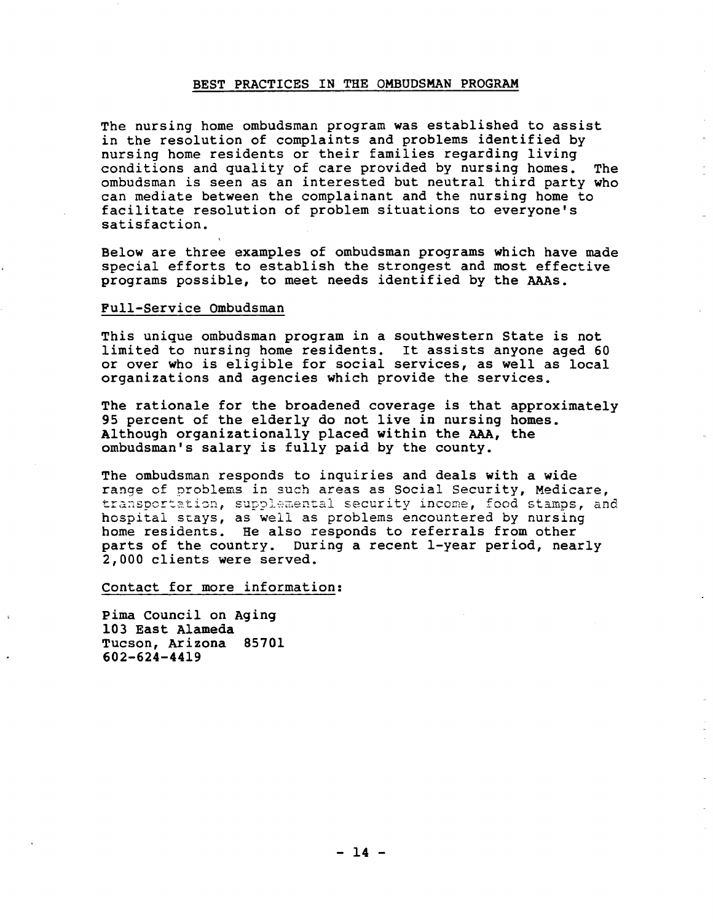# BEST PRACTICES IN THE OMBUDSMAN PROGRAM

The nursing home ombudsman program was established to assist in the resolution of complaints and problems identified by nursing home residents or their families regarding living conditions and quality of care provided by nursing homes. The ombudsman is seen as an interested but neutral third party who can mediate between the complainant and the nursing home to facilitate resolution of problem situations to everyone's satisfaction.

Below are three examples of ombudsman programs which have made special efforts to establish the strongest and most effective programs possible, to meet needs identified by the AAs.

## Full-Service Ombudsman

This unique ombudsman program in a southwestern State is not<br>limited to nursing home residents. It assists anyone aged 60 or over who is eligible for social services, as well as local organizations and agencies which provide the services.

The rationale for the broadened coverage is that approximately 95 percent of the elderly do not live in nursing homes. Although organizationally placed within the AA, the ombudsman's salary is fully paid by the county.

The ombudsman responds to inquiries and deals with a wide range of problems in such areas as Social Security, Medicare,<br>transportation, supplemental security income, food stamps, and hospital stays, as well as problems encountered by nursing<br>home residents. He also responds to referrals from other parts of the country. During a recent 1-year period, nearly 000 clients were served.

Contact for more information:

pima Council on Aging 103 East Alameda Tucson, Arizona 85701 602-624-44l9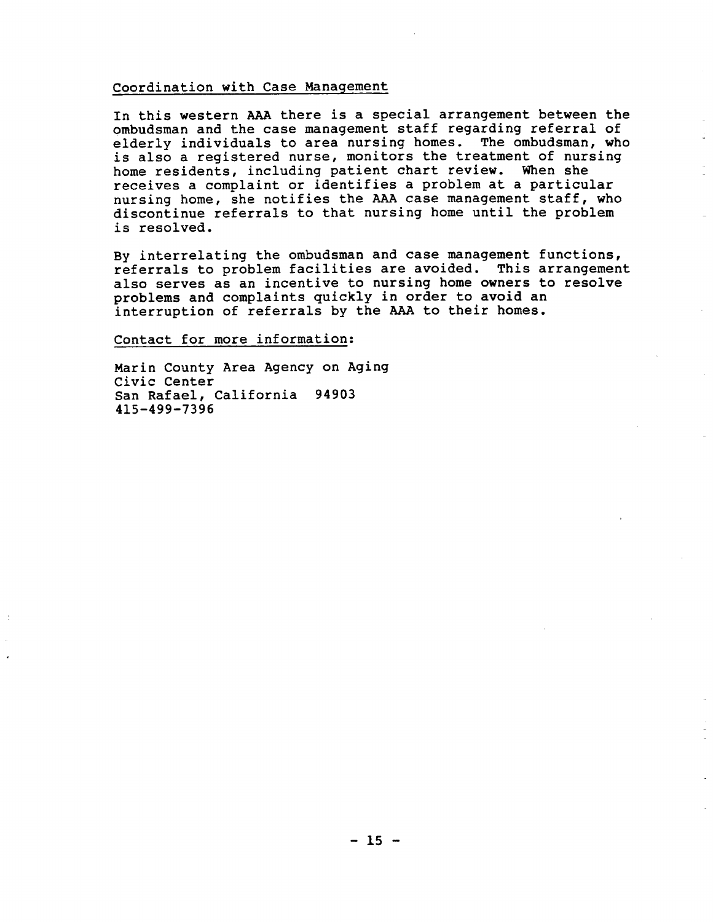# Coordination with Case Management

In this western AAA there is a special arrangement between the ombudsman and the case management staff regarding referral of elderly individuals to area nursing homes. The ombudsman, who is also a registered nurse, monitors the treatment of nursing home residents, including patient chart review. When she receives a complaint or identifies a problem at a particular nursing home, she notifies the AAA case management staff, who discontinue referrals to that nursing home until the problem is resolved.

By interrelating the ombudsman and case management functions, referrals to problem facilities are avoided. This arrangement also serves as an incentive to nursing home owners to resolve problems and complaints quickly in order to avoid an interruption of referrals by the AAA to their homes.

Contact for more information:

Marin County Area Agency on Aging Civic Center San Rafael, California 94903 4l5-499-7396